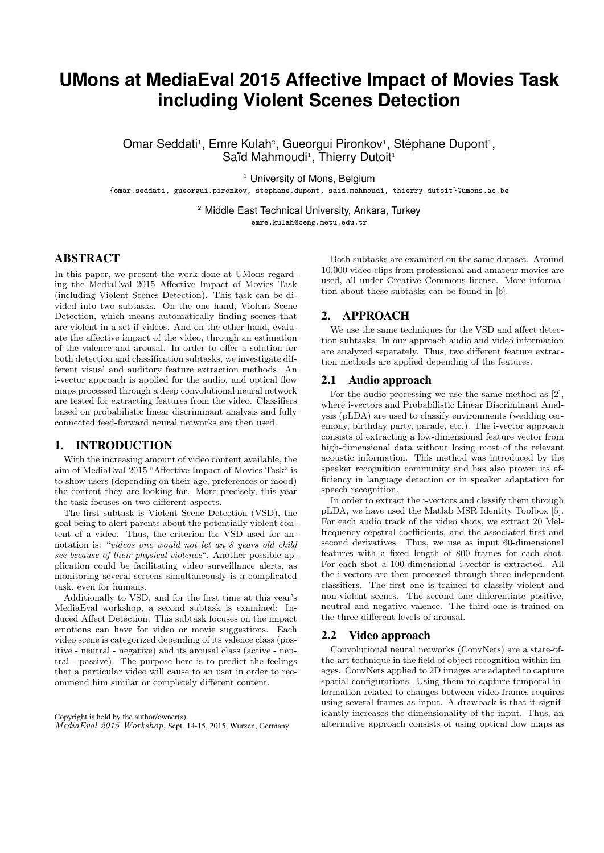# **UMons at MediaEval 2015 Affective Impact of Movies Task including Violent Scenes Detection**

Omar Seddati<sup>1</sup>, Emre Kulah<sup>2</sup>, Gueorgui Pironkov<sup>1</sup>, Stéphane Dupont<sup>1</sup>, Saïd Mahmoudi<sup>1</sup>, Thierry Dutoit<sup>1</sup>

<sup>1</sup> University of Mons, Belgium

{omar.seddati, gueorgui.pironkov, stephane.dupont, said.mahmoudi, thierry.dutoit}@umons.ac.be

<sup>2</sup> Middle East Technical University, Ankara, Turkey

emre.kulah@ceng.metu.edu.tr

## ABSTRACT

In this paper, we present the work done at UMons regarding the MediaEval 2015 Affective Impact of Movies Task (including Violent Scenes Detection). This task can be divided into two subtasks. On the one hand, Violent Scene Detection, which means automatically finding scenes that are violent in a set if videos. And on the other hand, evaluate the affective impact of the video, through an estimation of the valence and arousal. In order to offer a solution for both detection and classification subtasks, we investigate different visual and auditory feature extraction methods. An i-vector approach is applied for the audio, and optical flow maps processed through a deep convolutional neural network are tested for extracting features from the video. Classifiers based on probabilistic linear discriminant analysis and fully connected feed-forward neural networks are then used.

# 1. INTRODUCTION

With the increasing amount of video content available, the aim of MediaEval 2015 "Affective Impact of Movies Task" is to show users (depending on their age, preferences or mood) the content they are looking for. More precisely, this year the task focuses on two different aspects.

The first subtask is Violent Scene Detection (VSD), the goal being to alert parents about the potentially violent content of a video. Thus, the criterion for VSD used for annotation is: "videos one would not let an 8 years old child see because of their physical violence". Another possible application could be facilitating video surveillance alerts, as monitoring several screens simultaneously is a complicated task, even for humans.

Additionally to VSD, and for the first time at this year's MediaEval workshop, a second subtask is examined: Induced Affect Detection. This subtask focuses on the impact emotions can have for video or movie suggestions. Each video scene is categorized depending of its valence class (positive - neutral - negative) and its arousal class (active - neutral - passive). The purpose here is to predict the feelings that a particular video will cause to an user in order to recommend him similar or completely different content.

Copyright is held by the author/owner(s). MediaEval 2015 Workshop, Sept. 14-15, 2015, Wurzen, Germany

Both subtasks are examined on the same dataset. Around 10,000 video clips from professional and amateur movies are used, all under Creative Commons license. More information about these subtasks can be found in [6].

# 2. APPROACH

We use the same techniques for the VSD and affect detection subtasks. In our approach audio and video information are analyzed separately. Thus, two different feature extraction methods are applied depending of the features.

#### 2.1 Audio approach

For the audio processing we use the same method as [2], where i-vectors and Probabilistic Linear Discriminant Analysis (pLDA) are used to classify environments (wedding ceremony, birthday party, parade, etc.). The i-vector approach consists of extracting a low-dimensional feature vector from high-dimensional data without losing most of the relevant acoustic information. This method was introduced by the speaker recognition community and has also proven its efficiency in language detection or in speaker adaptation for speech recognition.

In order to extract the i-vectors and classify them through pLDA, we have used the Matlab MSR Identity Toolbox [5]. For each audio track of the video shots, we extract 20 Melfrequency cepstral coefficients, and the associated first and second derivatives. Thus, we use as input 60-dimensional features with a fixed length of 800 frames for each shot. For each shot a 100-dimensional i-vector is extracted. All the i-vectors are then processed through three independent classifiers. The first one is trained to classify violent and non-violent scenes. The second one differentiate positive, neutral and negative valence. The third one is trained on the three different levels of arousal.

# 2.2 Video approach

Convolutional neural networks (ConvNets) are a state-ofthe-art technique in the field of object recognition within images. ConvNets applied to 2D images are adapted to capture spatial configurations. Using them to capture temporal information related to changes between video frames requires using several frames as input. A drawback is that it significantly increases the dimensionality of the input. Thus, an alternative approach consists of using optical flow maps as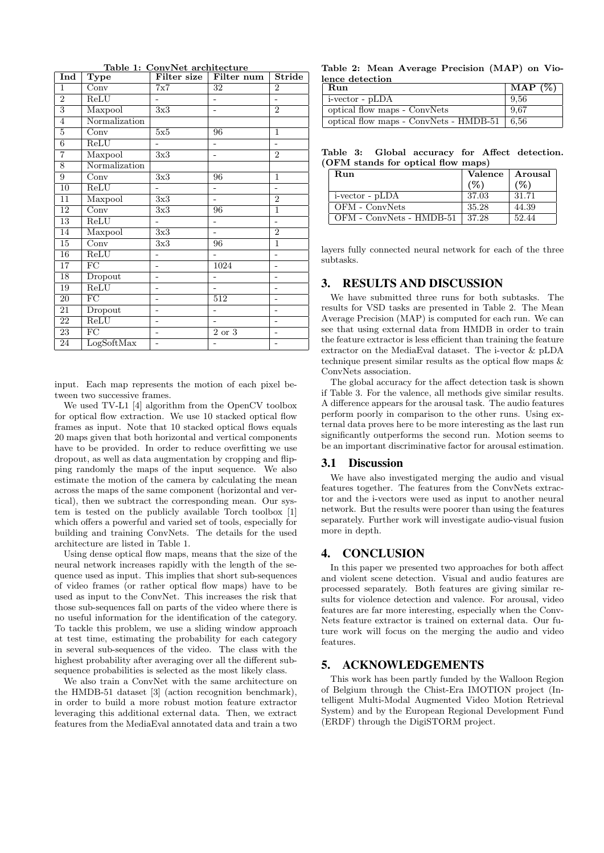| Ind             | <b>Type</b>              |                          | Filter size Filter num | <b>Stride</b>            |
|-----------------|--------------------------|--------------------------|------------------------|--------------------------|
| $\mathbf{1}$    | $\overline{\text{Conv}}$ | 7x7                      | 32                     | $\overline{2}$           |
| $\overline{2}$  | ReLU                     |                          |                        | ÷,                       |
| $\overline{3}$  | Maxpool                  | 3x3                      |                        | $\overline{2}$           |
| $\overline{4}$  | Normalization            |                          |                        |                          |
| $\overline{5}$  | Conv                     | 5x5                      | 96                     | $\mathbf{1}$             |
| $\,6$           | ReLU                     |                          |                        |                          |
| $\overline{7}$  | Maxpool                  | 3x3                      |                        | $\overline{2}$           |
| 8               | Normalization            |                          |                        |                          |
| 9               | Conv                     | 3x3                      | 96                     | $\mathbf{1}$             |
| $\overline{10}$ | ReLU                     | L.                       |                        | ÷,                       |
| 11              | Maxpool                  | 3x3                      | L,                     | $\overline{2}$           |
| 12              | $\overline{\text{Conv}}$ | 3x3                      | 96                     | $\mathbf{1}$             |
| 13              | ReLU                     | $\overline{\phantom{0}}$ |                        | $\overline{\phantom{0}}$ |
| 14              | Maxpool                  | 3x3                      | ÷,                     | $\overline{2}$           |
| 15              | Conv                     | 3x3                      | 96                     | 1                        |
| 16              | ReLU                     |                          |                        |                          |
| 17              | $\overline{\mathrm{FC}}$ | -                        | 1024                   | $\overline{\phantom{0}}$ |
| 18              | Dropout                  | $\overline{a}$           |                        | ä,                       |
| 19              | ReLU                     | -                        | L,                     | $\overline{a}$           |
| 20              | $\overline{FC}$          |                          | 512                    | $\overline{a}$           |
| 21              | Dropout                  | -                        |                        | $\overline{\phantom{0}}$ |
| 22              | ReLU                     |                          |                        | L,                       |
| 23              | $\overline{FC}$          | -                        | 2 or 3                 | ۰                        |
| 24              | LogSoftMax               | $\overline{a}$           |                        | $\overline{\phantom{0}}$ |

Table 1: ConvNet architecture

input. Each map represents the motion of each pixel between two successive frames.

We used TV-L1 [4] algorithm from the OpenCV toolbox for optical flow extraction. We use 10 stacked optical flow frames as input. Note that 10 stacked optical flows equals 20 maps given that both horizontal and vertical components have to be provided. In order to reduce overfitting we use dropout, as well as data augmentation by cropping and flipping randomly the maps of the input sequence. We also estimate the motion of the camera by calculating the mean across the maps of the same component (horizontal and vertical), then we subtract the corresponding mean. Our system is tested on the publicly available Torch toolbox [1] which offers a powerful and varied set of tools, especially for building and training ConvNets. The details for the used architecture are listed in Table 1.

Using dense optical flow maps, means that the size of the neural network increases rapidly with the length of the sequence used as input. This implies that short sub-sequences of video frames (or rather optical flow maps) have to be used as input to the ConvNet. This increases the risk that those sub-sequences fall on parts of the video where there is no useful information for the identification of the category. To tackle this problem, we use a sliding window approach at test time, estimating the probability for each category in several sub-sequences of the video. The class with the highest probability after averaging over all the different subsequence probabilities is selected as the most likely class.

We also train a ConvNet with the same architecture on the HMDB-51 dataset [3] (action recognition benchmark), in order to build a more robust motion feature extractor leveraging this additional external data. Then, we extract features from the MediaEval annotated data and train a two

Table 2: Mean Average Precision (MAP) on Violence detection

| Run                                             | MAP $(\%)$ |
|-------------------------------------------------|------------|
| $\vert$ i-vector - pLDA                         | -9.56      |
| optical flow maps - ConvNets                    | 9.67       |
| optical flow maps - ConvNets - $HMDB-51$   6.56 |            |

Table 3: Global accuracy for Affect detection. (OFM stands for optical flow maps)

| Run                      | Valence | Arousal |
|--------------------------|---------|---------|
|                          | $(\%)$  | (%)     |
| i-vector - pLDA          | 37.03   | 31.71   |
| OFM - ConvNets           | 35.28   | 44.39   |
| OFM - ConvNets - HMDB-51 | 37.28   | 52.44   |

layers fully connected neural network for each of the three subtasks.

#### 3. RESULTS AND DISCUSSION

We have submitted three runs for both subtasks. The results for VSD tasks are presented in Table 2. The Mean Average Precision (MAP) is computed for each run. We can see that using external data from HMDB in order to train the feature extractor is less efficient than training the feature extractor on the MediaEval dataset. The i-vector & pLDA technique present similar results as the optical flow maps & ConvNets association.

The global accuracy for the affect detection task is shown if Table 3. For the valence, all methods give similar results. A difference appears for the arousal task. The audio features perform poorly in comparison to the other runs. Using external data proves here to be more interesting as the last run significantly outperforms the second run. Motion seems to be an important discriminative factor for arousal estimation.

#### 3.1 Discussion

We have also investigated merging the audio and visual features together. The features from the ConvNets extractor and the i-vectors were used as input to another neural network. But the results were poorer than using the features separately. Further work will investigate audio-visual fusion more in depth.

# 4. CONCLUSION

In this paper we presented two approaches for both affect and violent scene detection. Visual and audio features are processed separately. Both features are giving similar results for violence detection and valence. For arousal, video features are far more interesting, especially when the Conv-Nets feature extractor is trained on external data. Our future work will focus on the merging the audio and video features.

# 5. ACKNOWLEDGEMENTS

This work has been partly funded by the Walloon Region of Belgium through the Chist-Era IMOTION project (Intelligent Multi-Modal Augmented Video Motion Retrieval System) and by the European Regional Development Fund (ERDF) through the DigiSTORM project.